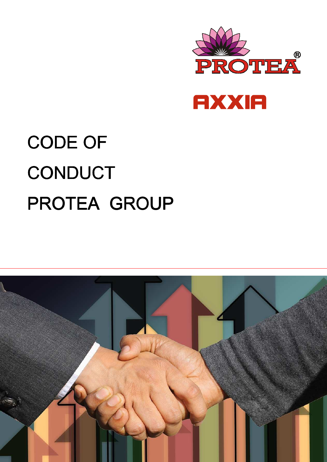



# CODE OF **CONDUCT** PROTEA GROUP

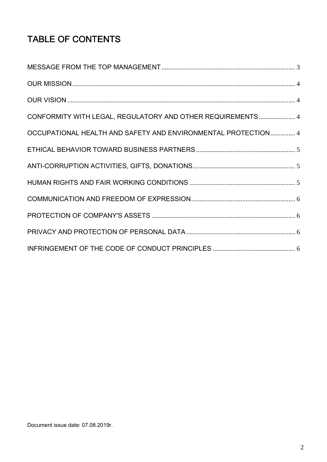# TABLE OF CONTENTS

| CONFORMITY WITH LEGAL, REGULATORY AND OTHER REQUIREMENTS 4    |  |
|---------------------------------------------------------------|--|
| OCCUPATIONAL HEALTH AND SAFETY AND ENVIRONMENTAL PROTECTION 4 |  |
|                                                               |  |
|                                                               |  |
|                                                               |  |
|                                                               |  |
|                                                               |  |
|                                                               |  |
|                                                               |  |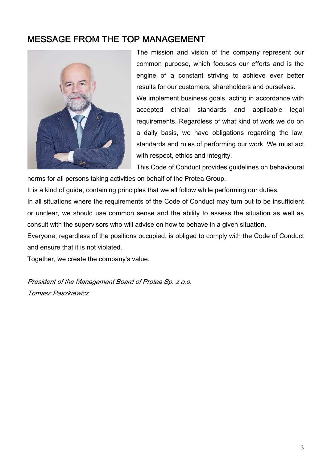#### MESSAGE FROM THE TOP MANAGEMENT



 The mission and vision of the company represent our common purpose, which focuses our efforts and is the engine of a constant striving to achieve ever better results for our customers, shareholders and ourselves. We implement business goals, acting in accordance with accepted ethical standards and applicable legal requirements. Regardless of what kind of work we do on a daily basis, we have obligations regarding the law, standards and rules of performing our work. We must act with respect, ethics and integrity.

This Code of Conduct provides guidelines on behavioural

norms for all persons taking activities on behalf of the Protea Group.

It is a kind of guide, containing principles that we all follow while performing our duties.

In all situations where the requirements of the Code of Conduct may turn out to be insufficient or unclear, we should use common sense and the ability to assess the situation as well as consult with the supervisors who will advise on how to behave in a given situation.

Everyone, regardless of the positions occupied, is obliged to comply with the Code of Conduct and ensure that it is not violated.

Together, we create the company's value.

President of the Management Board of Protea Sp. z o.o. Tomasz Paszkiewicz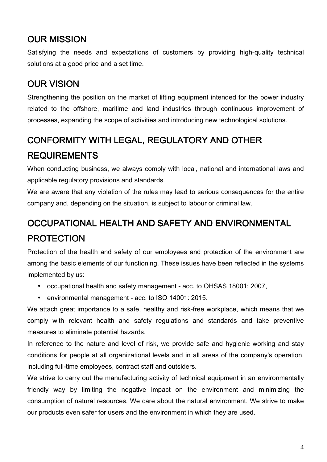## OUR MISSION

Satisfying the needs and expectations of customers by providing high-quality technical solutions at a good price and a set time.

# OUR VISION

Strengthening the position on the market of lifting equipment intended for the power industry related to the offshore, maritime and land industries through continuous improvement of processes, expanding the scope of activities and introducing new technological solutions.

# CONFORMITY WITH LEGAL, REGULATORY AND OTHER REQUIREMENTS

When conducting business, we always comply with local, national and international laws and applicable regulatory provisions and standards.

We are aware that any violation of the rules may lead to serious consequences for the entire company and, depending on the situation, is subject to labour or criminal law.

# OCCUPATIONAL HEALTH AND SAFETY AND ENVIRONMENTAL PROTECTION

Protection of the health and safety of our employees and protection of the environment are among the basic elements of our functioning. These issues have been reflected in the systems implemented by us:

- occupational health and safety management acc. to OHSAS 18001: 2007,
- environmental management acc. to ISO 14001: 2015.

We attach great importance to a safe, healthy and risk-free workplace, which means that we comply with relevant health and safety regulations and standards and take preventive measures to eliminate potential hazards.

In reference to the nature and level of risk, we provide safe and hygienic working and stay conditions for people at all organizational levels and in all areas of the company's operation, including full-time employees, contract staff and outsiders.

We strive to carry out the manufacturing activity of technical equipment in an environmentally friendly way by limiting the negative impact on the environment and minimizing the consumption of natural resources. We care about the natural environment. We strive to make our products even safer for users and the environment in which they are used.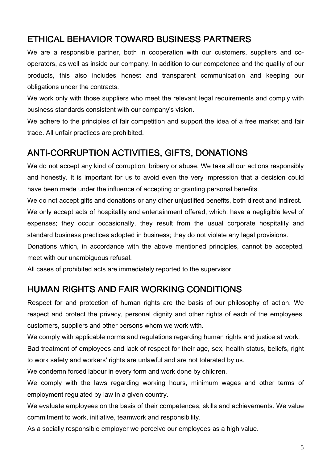#### ETHICAL BEHAVIOR TOWARD BUSINESS PARTNERS

We are a responsible partner, both in cooperation with our customers, suppliers and cooperators, as well as inside our company. In addition to our competence and the quality of our products, this also includes honest and transparent communication and keeping our obligations under the contracts.

We work only with those suppliers who meet the relevant legal requirements and comply with business standards consistent with our company's vision.

We adhere to the principles of fair competition and support the idea of a free market and fair trade. All unfair practices are prohibited.

#### ANTI-CORRUPTION ACTIVITIES, GIFTS, DONATIONS

We do not accept any kind of corruption, bribery or abuse. We take all our actions responsibly and honestly. It is important for us to avoid even the very impression that a decision could have been made under the influence of accepting or granting personal benefits.

We do not accept gifts and donations or any other unjustified benefits, both direct and indirect. We only accept acts of hospitality and entertainment offered, which: have a negligible level of expenses; they occur occasionally, they result from the usual corporate hospitality and standard business practices adopted in business; they do not violate any legal provisions.

Donations which, in accordance with the above mentioned principles, cannot be accepted, meet with our unambiguous refusal.

All cases of prohibited acts are immediately reported to the supervisor.

#### HUMAN RIGHTS AND FAIR WORKING CONDITIONS

Respect for and protection of human rights are the basis of our philosophy of action. We respect and protect the privacy, personal dignity and other rights of each of the employees, customers, suppliers and other persons whom we work with.

We comply with applicable norms and regulations regarding human rights and justice at work.

Bad treatment of employees and lack of respect for their age, sex, health status, beliefs, right to work safety and workers' rights are unlawful and are not tolerated by us.

We condemn forced labour in every form and work done by children.

We comply with the laws regarding working hours, minimum wages and other terms of employment regulated by law in a given country.

We evaluate employees on the basis of their competences, skills and achievements. We value commitment to work, initiative, teamwork and responsibility.

As a socially responsible employer we perceive our employees as a high value.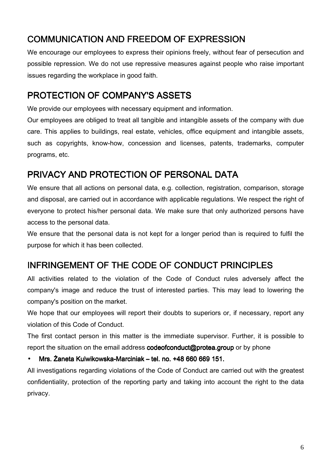# COMMUNICATION AND FREEDOM OF EXPRESSION

We encourage our employees to express their opinions freely, without fear of persecution and possible repression. We do not use repressive measures against people who raise important issues regarding the workplace in good faith.

## PROTECTION OF COMPANY'S ASSETS

We provide our employees with necessary equipment and information.

Our employees are obliged to treat all tangible and intangible assets of the company with due care. This applies to buildings, real estate, vehicles, office equipment and intangible assets, such as copyrights, know-how, concession and licenses, patents, trademarks, computer programs, etc.

#### PRIVACY AND PROTECTION OF PERSONAL DATA

We ensure that all actions on personal data, e.g. collection, registration, comparison, storage and disposal, are carried out in accordance with applicable regulations. We respect the right of everyone to protect his/her personal data. We make sure that only authorized persons have access to the personal data.

We ensure that the personal data is not kept for a longer period than is required to fulfil the purpose for which it has been collected.

#### INFRINGEMENT OF THE CODE OF CONDUCT PRINCIPLES

All activities related to the violation of the Code of Conduct rules adversely affect the company's image and reduce the trust of interested parties. This may lead to lowering the company's position on the market.

We hope that our employees will report their doubts to superiors or, if necessary, report any violation of this Code of Conduct.

The first contact person in this matter is the immediate supervisor. Further, it is possible to report the situation on the email address codeofconduct@protea.group or by phone

Mrs. Żaneta Kulwikowska-Marciniak – tel. no. +48 660 669 151.

All investigations regarding violations of the Code of Conduct are carried out with the greatest confidentiality, protection of the reporting party and taking into account the right to the data privacy.